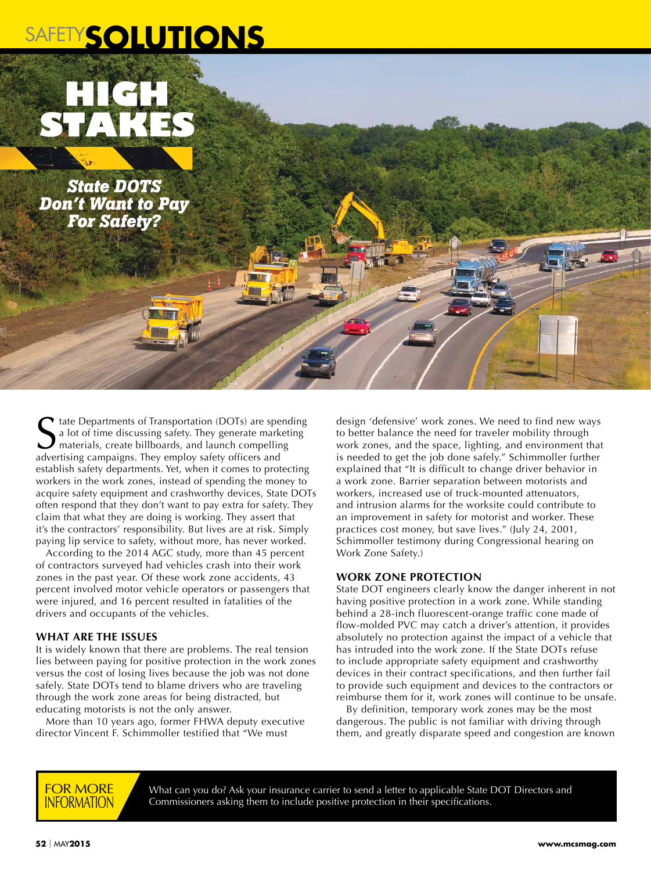# SAFETY**SOLUTIONS**



*State DOTS Don't Want to Pay For Safety?*

State Departments of Transportation (DOTs) are spear a lot of time discussing safety. They generate marked materials, create billboards, and launch compelling advertising campaigns. They employ safety officers and tate Departments of Transportation (DOTs) are spending a lot of time discussing safety. They generate marketing materials, create billboards, and launch compelling establish safety departments. Yet, when it comes to protecting workers in the work zones, instead of spending the money to acquire safety equipment and crashworthy devices, State DOTs often respond that they don't want to pay extra for safety. They claim that what they are doing is working. They assert that it's the contractors' responsibility. But lives are at risk. Simply paying lip service to safety, without more, has never worked.

According to the 2014 AGC study, more than 45 percent of contractors surveyed had vehicles crash into their work zones in the past year. Of these work zone accidents, 43 percent involved motor vehicle operators or passengers that were injured, and 16 percent resulted in fatalities of the drivers and occupants of the vehicles.

## **WHAT ARE THE ISSUES**

It is widely known that there are problems. The real tension lies between paying for positive protection in the work zones versus the cost of losing lives because the job was not done safely. State DOTs tend to blame drivers who are traveling through the work zone areas for being distracted, but educating motorists is not the only answer.

More than 10 years ago, former FHWA deputy executive director Vincent F. Schimmoller testified that "We must

design 'defensive' work zones. We need to find new ways to better balance the need for traveler mobility through work zones, and the space, lighting, and environment that is needed to get the job done safely." Schimmoller further explained that "It is difficult to change driver behavior in a work zone. Barrier separation between motorists and workers, increased use of truck-mounted attenuators, and intrusion alarms for the worksite could contribute to an improvement in safety for motorist and worker. These practices cost money, but save lives." (July 24, 2001, Schimmoller testimony during Congressional hearing on Work Zone Safety.)

## **WORK ZONE PROTECTION**

State DOT engineers clearly know the danger inherent in not having positive protection in a work zone. While standing behind a 28-inch fluorescent-orange traffic cone made of flow-molded PVC may catch a driver's attention, it provides absolutely no protection against the impact of a vehicle that has intruded into the work zone. If the State DOTs refuse to include appropriate safety equipment and crashworthy devices in their contract specifications, and then further fail to provide such equipment and devices to the contractors or reimburse them for it, work zones will continue to be unsafe.

By definition, temporary work zones may be the most dangerous. The public is not familiar with driving through them, and greatly disparate speed and congestion are known



What can you do? Ask your insurance carrier to send a letter to applicable State DOT Directors and Commissioners asking them to include positive protection in their specifications.